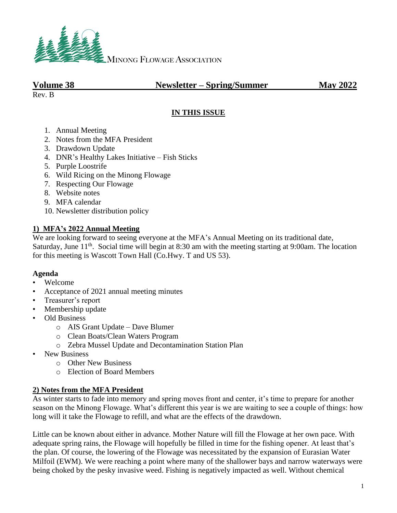

## **Volume 38 Newsletter – Spring/Summer May 2022**

Rev. B

### **IN THIS ISSUE**

- 1. Annual Meeting
- 2. Notes from the MFA President
- 3. Drawdown Update
- 4. DNR's Healthy Lakes Initiative Fish Sticks
- 5. Purple Loostrife
- 6. Wild Ricing on the Minong Flowage
- 7. Respecting Our Flowage
- 8. Website notes
- 9. MFA calendar
- 10. Newsletter distribution policy

#### **1) MFA's 2022 Annual Meeting**

We are looking forward to seeing everyone at the MFA's Annual Meeting on its traditional date, Saturday, June 11<sup>th</sup>. Social time will begin at 8:30 am with the meeting starting at 9:00am. The location for this meeting is Wascott Town Hall (Co.Hwy. T and US 53).

#### **Agenda**

- Welcome
- Acceptance of 2021 annual meeting minutes
- Treasurer's report
- Membership update
- Old Business
	- o AIS Grant Update Dave Blumer
	- o Clean Boats/Clean Waters Program
	- o Zebra Mussel Update and Decontamination Station Plan
- New Business
	- o Other New Business
	- o Election of Board Members

#### **2) Notes from the MFA President**

As winter starts to fade into memory and spring moves front and center, it's time to prepare for another season on the Minong Flowage. What's different this year is we are waiting to see a couple of things: how long will it take the Flowage to refill, and what are the effects of the drawdown.

Little can be known about either in advance. Mother Nature will fill the Flowage at her own pace. With adequate spring rains, the Flowage will hopefully be filled in time for the fishing opener. At least that's the plan. Of course, the lowering of the Flowage was necessitated by the expansion of Eurasian Water Milfoil (EWM). We were reaching a point where many of the shallower bays and narrow waterways were being choked by the pesky invasive weed. Fishing is negatively impacted as well. Without chemical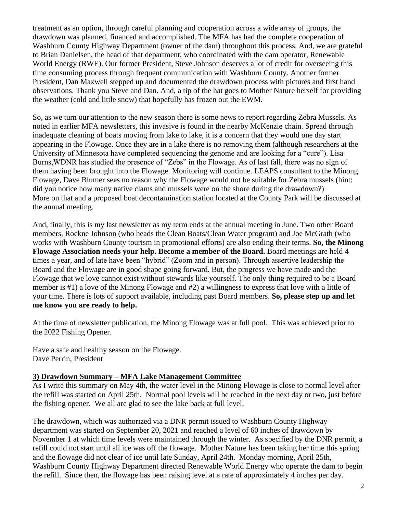treatment as an option, through careful planning and cooperation across a wide array of groups, the drawdown was planned, financed and accomplished. The MFA has had the complete cooperation of Washburn County Highway Department (owner of the dam) throughout this process. And, we are grateful to Brian Danielsen, the head of that department, who coordinated with the dam operator, Renewable World Energy (RWE). Our former President, Steve Johnson deserves a lot of credit for overseeing this time consuming process through frequent communication with Washburn County. Another former President, Dan Maxwell stepped up and documented the drawdown process with pictures and first hand observations. Thank you Steve and Dan. And, a tip of the hat goes to Mother Nature herself for providing the weather (cold and little snow) that hopefully has frozen out the EWM.

So, as we turn our attention to the new season there is some news to report regarding Zebra Mussels. As noted in earlier MFA newsletters, this invasive is found in the nearby McKenzie chain. Spread through inadequate cleaning of boats moving from lake to lake, it is a concern that they would one day start appearing in the Flowage. Once they are in a lake there is no removing them (although researchers at the University of Minnesota have completed sequencing the genome and are looking for a "cure"). Lisa Burns,WDNR has studied the presence of "Zebs" in the Flowage. As of last fall, there was no sign of them having been brought into the Flowage. Monitoring will continue. LEAPS consultant to the Minong Flowage, Dave Blumer sees no reason why the Flowage would not be suitable for Zebra mussels (hint: did you notice how many native clams and mussels were on the shore during the drawdown?) More on that and a proposed boat decontamination station located at the County Park will be discussed at the annual meeting.

And, finally, this is my last newsletter as my term ends at the annual meeting in June. Two other Board members, Rockne Johnson (who heads the Clean Boats/Clean Water program) and Joe McGrath (who works with Washburn County tourism in promotional efforts) are also ending their terms. **So, the Minong Flowage Association needs your help. Become a member of the Board.** Board meetings are held 4 times a year, and of late have been "hybrid" (Zoom and in person). Through assertive leadership the Board and the Flowage are in good shape going forward. But, the progress we have made and the Flowage that we love cannot exist without stewards like yourself. The only thing required to be a Board member is #1) a love of the Minong Flowage and #2) a willingness to express that love with a little of your time. There is lots of support available, including past Board members. **So, please step up and let me know you are ready to help.**

At the time of newsletter publication, the Minong Flowage was at full pool. This was achieved prior to the 2022 Fishing Opener.

Have a safe and healthy season on the Flowage. Dave Perrin, President

#### **3) Drawdown Summary – MFA Lake Management Committee**

As I write this summary on May 4th, the water level in the Minong Flowage is close to normal level after the refill was started on April 25th. Normal pool levels will be reached in the next day or two, just before the fishing opener. We all are glad to see the lake back at full level.

The drawdown, which was authorized via a DNR permit issued to Washburn County Highway department was started on September 20, 2021 and reached a level of 60 inches of drawdown by November 1 at which time levels were maintained through the winter. As specified by the DNR permit, a refill could not start until all ice was off the flowage. Mother Nature has been taking her time this spring and the flowage did not clear of ice until late Sunday, April 24th. Monday morning, April 25th, Washburn County Highway Department directed Renewable World Energy who operate the dam to begin the refill. Since then, the flowage has been raising level at a rate of approximately 4 inches per day.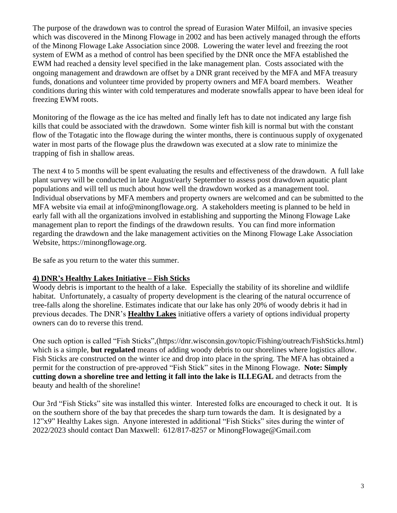The purpose of the drawdown was to control the spread of Eurasion Water Milfoil, an invasive species which was discovered in the Minong Flowage in 2002 and has been actively managed through the efforts of the Minong Flowage Lake Association since 2008. Lowering the water level and freezing the root system of EWM as a method of control has been specified by the DNR once the MFA established the EWM had reached a density level specified in the lake management plan. Costs associated with the ongoing management and drawdown are offset by a DNR grant received by the MFA and MFA treasury funds, donations and volunteer time provided by property owners and MFA board members. Weather conditions during this winter with cold temperatures and moderate snowfalls appear to have been ideal for freezing EWM roots.

Monitoring of the flowage as the ice has melted and finally left has to date not indicated any large fish kills that could be associated with the drawdown. Some winter fish kill is normal but with the constant flow of the Totagatic into the flowage during the winter months, there is continuous supply of oxygenated water in most parts of the flowage plus the drawdown was executed at a slow rate to minimize the trapping of fish in shallow areas.

The next 4 to 5 months will be spent evaluating the results and effectiveness of the drawdown. A full lake plant survey will be conducted in late August/early September to assess post drawdown aquatic plant populations and will tell us much about how well the drawdown worked as a management tool. Individual observations by MFA members and property owners are welcomed and can be submitted to the MFA website via email at [info@minongflowage.org.](mailto:info@minongflowage.org) A stakeholders meeting is planned to be held in early fall with all the organizations involved in establishing and supporting the Minong Flowage Lake management plan to report the findings of the drawdown results. You can find more information regarding the drawdown and the lake management activities on the Minong Flowage Lake Association Website, [https://minongflowage.org.](https://minongflowage.org/)

Be safe as you return to the water this summer.

#### **4) DNR's Healthy Lakes Initiative – Fish Sticks**

Woody debris is important to the health of a lake. Especially the stability of its shoreline and wildlife habitat. Unfortunately, a casualty of property development is the clearing of the natural occurrence of tree-falls along the shoreline. Estimates indicate that our lake has only 20% of woody debris it had in previous decades. The DNR's **Healthy Lakes** initiative offers a variety of options individual property owners can do to reverse this trend.

One such option is called "Fish Sticks",(https://dnr.wisconsin.gov/topic/Fishing/outreach/FishSticks.html) which is a simple, **but regulated** means of adding woody debris to our shorelines where logistics allow. Fish Sticks are constructed on the winter ice and drop into place in the spring. The MFA has obtained a permit for the construction of pre-approved "Fish Stick" sites in the Minong Flowage. **Note: Simply cutting down a shoreline tree and letting it fall into the lake is ILLEGAL** and detracts from the beauty and health of the shoreline!

Our 3rd "Fish Sticks" site was installed this winter. Interested folks are encouraged to check it out. It is on the southern shore of the bay that precedes the sharp turn towards the dam. It is designated by a 12"x9" Healthy Lakes sign. Anyone interested in additional "Fish Sticks" sites during the winter of 2022/2023 should contact Dan Maxwell: 612/817-8257 or MinongFlowage@Gmail.com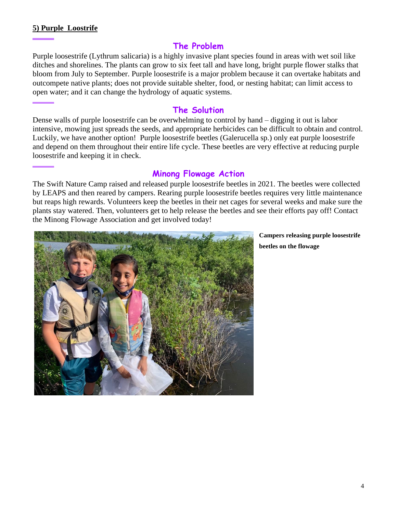#### **5) Purple Loostrife**

## **The Problem**

Purple loosestrife (Lythrum salicaria) is a highly invasive plant species found in areas with wet soil like ditches and shorelines. The plants can grow to six feet tall and have long, bright purple flower stalks that bloom from July to September. Purple loosestrife is a major problem because it can overtake habitats and outcompete native plants; does not provide suitable shelter, food, or nesting habitat; can limit access to open water; and it can change the hydrology of aquatic systems.

## **The Solution**

Dense walls of purple loosestrife can be overwhelming to control by hand – digging it out is labor intensive, mowing just spreads the seeds, and appropriate herbicides can be difficult to obtain and control. Luckily, we have another option! Purple loosestrife beetles (Galerucella sp.) only eat purple loosestrife and depend on them throughout their entire life cycle. These beetles are very effective at reducing purple loosestrife and keeping it in check.

## **Minong Flowage Action**

The Swift Nature Camp raised and released purple loosestrife beetles in 2021. The beetles were collected by LEAPS and then reared by campers. Rearing purple loosestrife beetles requires very little maintenance but reaps high rewards. Volunteers keep the beetles in their net cages for several weeks and make sure the plants stay watered. Then, volunteers get to help release the beetles and see their efforts pay off! Contact the Minong Flowage Association and get involved today!



**Campers releasing purple loosestrife beetles on the flowage**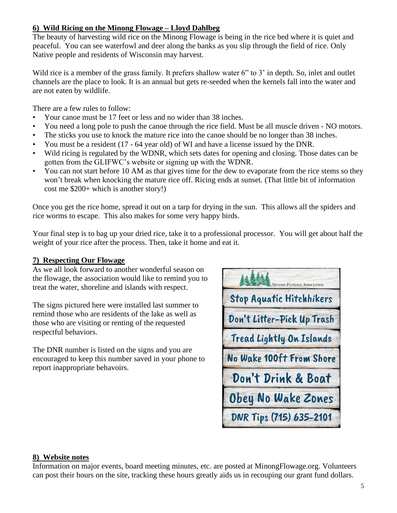## **6) Wild Ricing on the Minong Flowage – Lloyd Dahlbeg**

The beauty of harvesting wild rice on the Minong Flowage is being in the rice bed where it is quiet and peaceful. You can see waterfowl and deer along the banks as you slip through the field of rice. Only Native people and residents of Wisconsin may harvest.

Wild rice is a member of the grass family. It prefers shallow water 6" to 3' in depth. So, inlet and outlet channels are the place to look. It is an annual but gets re-seeded when the kernels fall into the water and are not eaten by wildlife.

There are a few rules to follow:

- Your canoe must be 17 feet or less and no wider than 38 inches.
- You need a long pole to push the canoe through the rice field. Must be all muscle driven NO motors.
- The sticks you use to knock the mature rice into the canoe should be no longer than 38 inches.
- You must be a resident (17 64 year old) of WI and have a license issued by the DNR.
- Wild ricing is regulated by the WDNR, which sets dates for opening and closing. Those dates can be gotten from the GLIFWC's website or signing up with the WDNR.
- You can not start before 10 AM as that gives time for the dew to evaporate from the rice stems so they won't break when knocking the mature rice off. Ricing ends at sunset. (That little bit of information cost me \$200+ which is another story!)

Once you get the rice home, spread it out on a tarp for drying in the sun. This allows all the spiders and rice worms to escape. This also makes for some very happy birds.

Your final step is to bag up your dried rice, take it to a professional processor. You will get about half the weight of your rice after the process. Then, take it home and eat it.

## **7) Respecting Our Flowage**

As we all look forward to another wonderful season on the flowage, the association would like to remind you to treat the water, shoreline and islands with respect.

The signs pictured here were installed last summer to remind those who are residents of the lake as well as those who are visiting or renting of the requested respectful behaviors.

The DNR number is listed on the signs and you are encouraged to keep this number saved in your phone to report inappropriate behavoirs.



#### **8) Website notes**

Information on major events, board meeting minutes, etc. are posted at MinongFlowage.org. Volunteers can post their hours on the site, tracking these hours greatly aids us in recouping our grant fund dollars.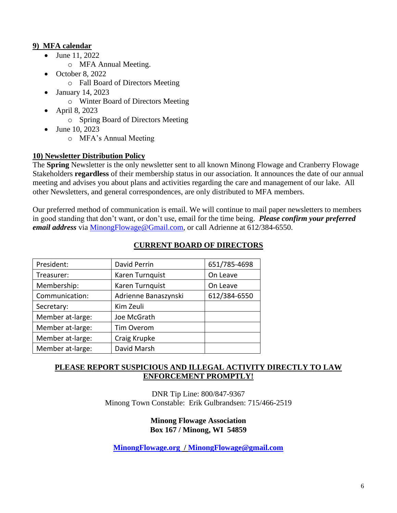## **9) [MFA calendar](http://minongflowage.org/lake-news-and-events/calendar-flowage-association-and-area-events/)**

- June 11, 2022
	- o MFA Annual Meeting.
- October 8, 2022
	- o Fall Board of Directors Meeting
- January 14, 2023
	- o Winter Board of Directors Meeting
- April 8, 2023
	- o Spring Board of Directors Meeting
- June 10, 2023
	- o MFA's Annual Meeting

## **10) Newsletter Distribution Policy**

The **Spring** Newsletter is the only newsletter sent to all known Minong Flowage and Cranberry Flowage Stakeholders **regardless** of their membership status in our association. It announces the date of our annual meeting and advises you about plans and activities regarding the care and management of our lake. All other Newsletters, and general correspondences, are only distributed to MFA members.

Our preferred method of communication is email. We will continue to mail paper newsletters to members in good standing that don't want, or don't use, email for the time being. *Please confirm your preferred email address* via [MinongFlowage@Gmail.com,](mailto:MinongFlowage@Gmail.com) or call Adrienne at 612/384-6550.

| President:       | David Perrin         | 651/785-4698 |
|------------------|----------------------|--------------|
| Treasurer:       | Karen Turnquist      | On Leave     |
| Membership:      | Karen Turnquist      | On Leave     |
| Communication:   | Adrienne Banaszynski | 612/384-6550 |
| Secretary:       | Kim Zeuli            |              |
| Member at-large: | Joe McGrath          |              |
| Member at-large: | <b>Tim Overom</b>    |              |
| Member at-large: | Craig Krupke         |              |
| Member at-large: | David Marsh          |              |
|                  |                      |              |

## **CURRENT BOARD OF DIRECTORS**

## **PLEASE REPORT SUSPICIOUS AND ILLEGAL ACTIVITY DIRECTLY TO LAW ENFORCEMENT PROMPTLY!**

DNR Tip Line: 800/847-9367 Minong Town Constable: Erik Gulbrandsen: 715/466-2519

#### **Minong Flowage Association Box 167 / Minong, WI 54859**

**[MinongFlowage.org](http://www.minongflowage.org/) / [MinongFlowage@gmail.com](mailto:MinongFlowage@gmail.com)**